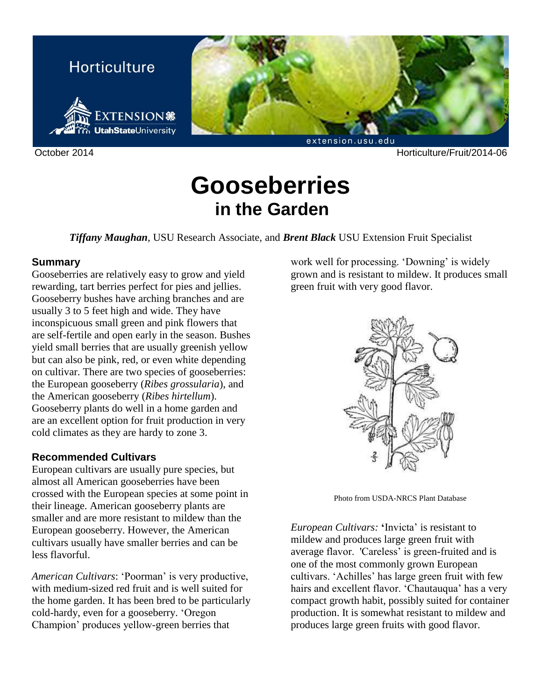

October 2014 Horticulture/Fruit/2014-06

# **Gooseberries in the Garden**

*Tiffany Maughan*, USU Research Associate, and *Brent Black* USU Extension Fruit Specialist

#### **Summary**

Gooseberries are relatively easy to grow and yield rewarding, tart berries perfect for pies and jellies. Gooseberry bushes have arching branches and are usually 3 to 5 feet high and wide. They have inconspicuous small green and pink flowers that are self-fertile and open early in the season. Bushes yield small berries that are usually greenish yellow but can also be pink, red, or even white depending on cultivar. There are two species of gooseberries: the European gooseberry (*Ribes grossularia*), and the American gooseberry (*Ribes hirtellum*). Gooseberry plants do well in a home garden and are an excellent option for fruit production in very cold climates as they are hardy to zone 3.

# **Recommended Cultivars**

European cultivars are usually pure species, but almost all American gooseberries have been crossed with the European species at some point in their lineage. American gooseberry plants are smaller and are more resistant to mildew than the European gooseberry. However, the American cultivars usually have smaller berries and can be less flavorful.

*American Cultivars*: 'Poorman' is very productive, with medium-sized red fruit and is well suited for the home garden. It has been bred to be particularly cold-hardy, even for a gooseberry. 'Oregon Champion' produces yellow-green berries that

work well for processing. 'Downing' is widely grown and is resistant to mildew. It produces small green fruit with very good flavor.



Photo from USDA-NRCS Plant Database

*European Cultivars:* **'**Invicta' is resistant to mildew and produces large green fruit with average flavor. 'Careless' is green-fruited and is one of the most commonly grown European cultivars. 'Achilles' has large green fruit with few hairs and excellent flavor. 'Chautauqua' has a very compact growth habit, possibly suited for container production. It is somewhat resistant to mildew and produces large green fruits with good flavor.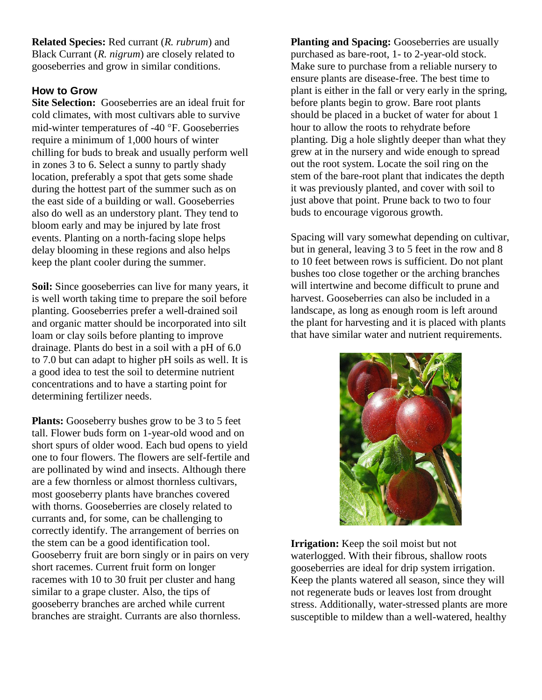**Related Species:** Red currant (*R. rubrum*) and Black Currant (*R. nigrum*) are closely related to gooseberries and grow in similar conditions.

### **How to Grow**

**Site Selection:** Gooseberries are an ideal fruit for cold climates, with most cultivars able to survive mid-winter temperatures of  $-40$  °F. Gooseberries require a minimum of 1,000 hours of winter chilling for buds to break and usually perform well in zones 3 to 6. Select a sunny to partly shady location, preferably a spot that gets some shade during the hottest part of the summer such as on the east side of a building or wall. Gooseberries also do well as an understory plant. They tend to bloom early and may be injured by late frost events. Planting on a north-facing slope helps delay blooming in these regions and also helps keep the plant cooler during the summer.

**Soil:** Since gooseberries can live for many years, it is well worth taking time to prepare the soil before planting. Gooseberries prefer a well-drained soil and organic matter should be incorporated into silt loam or clay soils before planting to improve drainage. Plants do best in a soil with a pH of 6.0 to 7.0 but can adapt to higher pH soils as well. It is a good idea to test the soil to determine nutrient concentrations and to have a starting point for determining fertilizer needs.

**Plants:** Gooseberry bushes grow to be 3 to 5 feet tall. Flower buds form on 1-year-old wood and on short spurs of older wood. Each bud opens to yield one to four flowers. The flowers are self-fertile and are pollinated by wind and insects. Although there are a few thornless or almost thornless cultivars, most gooseberry plants have branches covered with thorns. Gooseberries are closely related to currants and, for some, can be challenging to correctly identify. The arrangement of berries on the stem can be a good identification tool. Gooseberry fruit are born singly or in pairs on very short racemes. Current fruit form on longer racemes with 10 to 30 fruit per cluster and hang similar to a grape cluster. Also, the tips of gooseberry branches are arched while current branches are straight. Currants are also thornless.

**Planting and Spacing:** Gooseberries are usually purchased as bare-root, 1- to 2-year-old stock. Make sure to purchase from a reliable nursery to ensure plants are disease-free. The best time to plant is either in the fall or very early in the spring, before plants begin to grow. Bare root plants should be placed in a bucket of water for about 1 hour to allow the roots to rehydrate before planting. Dig a hole slightly deeper than what they grew at in the nursery and wide enough to spread out the root system. Locate the soil ring on the stem of the bare-root plant that indicates the depth it was previously planted, and cover with soil to just above that point. Prune back to two to four buds to encourage vigorous growth.

Spacing will vary somewhat depending on cultivar, but in general, leaving 3 to 5 feet in the row and 8 to 10 feet between rows is sufficient. Do not plant bushes too close together or the arching branches will intertwine and become difficult to prune and harvest. Gooseberries can also be included in a landscape, as long as enough room is left around the plant for harvesting and it is placed with plants that have similar water and nutrient requirements.



**Irrigation:** Keep the soil moist but not waterlogged. With their fibrous, shallow roots gooseberries are ideal for drip system irrigation. Keep the plants watered all season, since they will not regenerate buds or leaves lost from drought stress. Additionally, water-stressed plants are more susceptible to mildew than a well-watered, healthy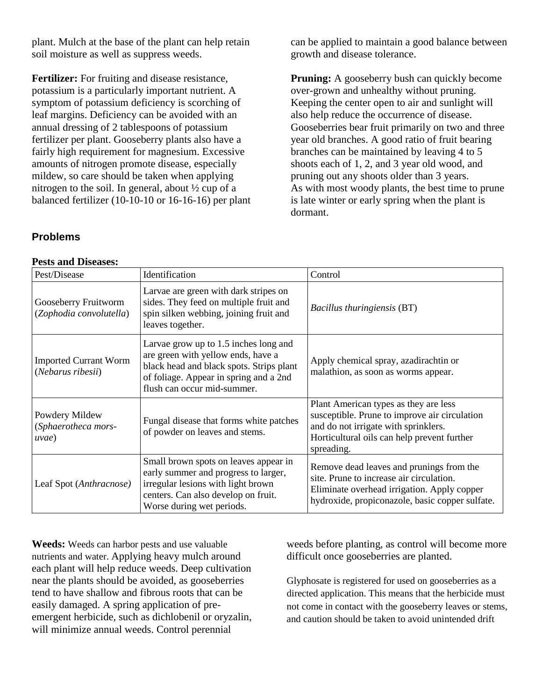plant. Mulch at the base of the plant can help retain soil moisture as well as suppress weeds.

**Fertilizer:** For fruiting and disease resistance, potassium is a particularly important nutrient. A symptom of potassium deficiency is scorching of leaf margins. Deficiency can be avoided with an annual dressing of 2 tablespoons of potassium fertilizer per plant. Gooseberry plants also have a fairly high requirement for magnesium. Excessive amounts of nitrogen promote disease, especially mildew, so care should be taken when applying nitrogen to the soil. In general, about ½ cup of a balanced fertilizer (10-10-10 or 16-16-16) per plant can be applied to maintain a good balance between growth and disease tolerance.

**Pruning:** A gooseberry bush can quickly become over-grown and unhealthy without pruning. Keeping the center open to air and sunlight will also help reduce the occurrence of disease. Gooseberries bear fruit primarily on two and three year old branches. A good ratio of fruit bearing branches can be maintained by leaving 4 to 5 shoots each of 1, 2, and 3 year old wood, and pruning out any shoots older than 3 years. As with most woody plants, the best time to prune is late winter or early spring when the plant is dormant.

# **Problems**

#### **Pests and Diseases:**

| Pest/Disease                                      | Identification                                                                                                                                                                                   | Control                                                                                                                                                                                     |
|---------------------------------------------------|--------------------------------------------------------------------------------------------------------------------------------------------------------------------------------------------------|---------------------------------------------------------------------------------------------------------------------------------------------------------------------------------------------|
| Gooseberry Fruitworm<br>(Zophodia convolutella)   | Larvae are green with dark stripes on<br>sides. They feed on multiple fruit and<br>spin silken webbing, joining fruit and<br>leaves together.                                                    | Bacillus thuringiensis (BT)                                                                                                                                                                 |
| <b>Imported Currant Worm</b><br>(Nebarus ribesii) | Larvae grow up to 1.5 inches long and<br>are green with yellow ends, have a<br>black head and black spots. Strips plant<br>of foliage. Appear in spring and a 2nd<br>flush can occur mid-summer. | Apply chemical spray, azadirachtin or<br>malathion, as soon as worms appear.                                                                                                                |
| Powdery Mildew<br>(Sphaerotheca mors-<br>uvae)    | Fungal disease that forms white patches<br>of powder on leaves and stems.                                                                                                                        | Plant American types as they are less<br>susceptible. Prune to improve air circulation<br>and do not irrigate with sprinklers.<br>Horticultural oils can help prevent further<br>spreading. |
| Leaf Spot (Anthracnose)                           | Small brown spots on leaves appear in<br>early summer and progress to larger,<br>irregular lesions with light brown<br>centers. Can also develop on fruit.<br>Worse during wet periods.          | Remove dead leaves and prunings from the<br>site. Prune to increase air circulation.<br>Eliminate overhead irrigation. Apply copper<br>hydroxide, propiconazole, basic copper sulfate.      |

**Weeds:** Weeds can harbor pests and use valuable nutrients and water. Applying heavy mulch around each plant will help reduce weeds. Deep cultivation near the plants should be avoided, as gooseberries tend to have shallow and fibrous roots that can be easily damaged. A spring application of preemergent herbicide, such as dichlobenil or oryzalin, will minimize annual weeds. Control perennial

weeds before planting, as control will become more difficult once gooseberries are planted.

Glyphosate is registered for used on gooseberries as a directed application. This means that the herbicide must not come in contact with the gooseberry leaves or stems, and caution should be taken to avoid unintended drift